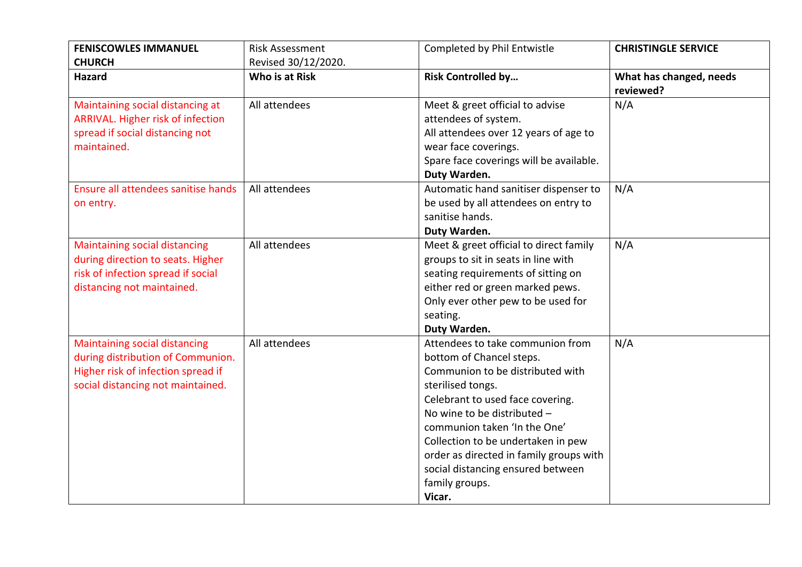| <b>FENISCOWLES IMMANUEL</b>          | <b>Risk Assessment</b> | Completed by Phil Entwistle             | <b>CHRISTINGLE SERVICE</b> |
|--------------------------------------|------------------------|-----------------------------------------|----------------------------|
| <b>CHURCH</b>                        | Revised 30/12/2020.    |                                         |                            |
| <b>Hazard</b>                        | Who is at Risk         | <b>Risk Controlled by</b>               | What has changed, needs    |
|                                      |                        |                                         | reviewed?                  |
| Maintaining social distancing at     | All attendees          | Meet & greet official to advise         | N/A                        |
| ARRIVAL. Higher risk of infection    |                        | attendees of system.                    |                            |
| spread if social distancing not      |                        | All attendees over 12 years of age to   |                            |
| maintained.                          |                        | wear face coverings.                    |                            |
|                                      |                        | Spare face coverings will be available. |                            |
|                                      |                        | Duty Warden.                            |                            |
| Ensure all attendees sanitise hands  | All attendees          | Automatic hand sanitiser dispenser to   | N/A                        |
| on entry.                            |                        | be used by all attendees on entry to    |                            |
|                                      |                        | sanitise hands.                         |                            |
|                                      |                        | Duty Warden.                            |                            |
| <b>Maintaining social distancing</b> | All attendees          | Meet & greet official to direct family  | N/A                        |
| during direction to seats. Higher    |                        | groups to sit in seats in line with     |                            |
| risk of infection spread if social   |                        | seating requirements of sitting on      |                            |
| distancing not maintained.           |                        | either red or green marked pews.        |                            |
|                                      |                        | Only ever other pew to be used for      |                            |
|                                      |                        | seating.                                |                            |
|                                      |                        | Duty Warden.                            |                            |
| <b>Maintaining social distancing</b> | All attendees          | Attendees to take communion from        | N/A                        |
| during distribution of Communion.    |                        | bottom of Chancel steps.                |                            |
| Higher risk of infection spread if   |                        | Communion to be distributed with        |                            |
| social distancing not maintained.    |                        | sterilised tongs.                       |                            |
|                                      |                        | Celebrant to used face covering.        |                            |
|                                      |                        | No wine to be distributed -             |                            |
|                                      |                        | communion taken 'In the One'            |                            |
|                                      |                        | Collection to be undertaken in pew      |                            |
|                                      |                        | order as directed in family groups with |                            |
|                                      |                        | social distancing ensured between       |                            |
|                                      |                        | family groups.                          |                            |
|                                      |                        | Vicar.                                  |                            |